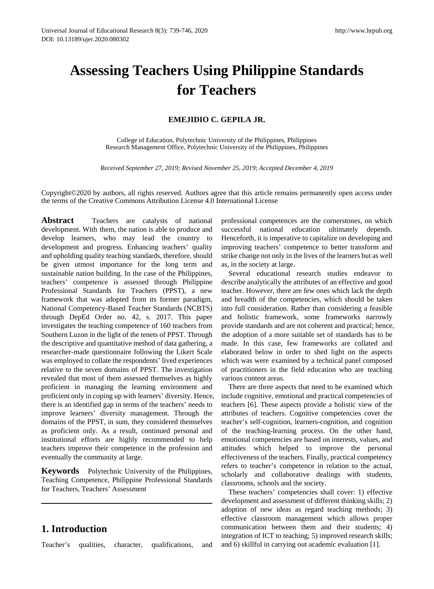# **Assessing Teachers Using Philippine Standards for Teachers**

#### **EMEJIDIO C. GEPILA JR.**

College of Education, Polytechnic University of the Philippines, Philippines Research Management Office, Polytechnic University of the Philippines, Philippines

*Received September 27, 2019; Revised November 25, 2019; Accepted December 4, 2019*

Copyright©2020 by authors, all rights reserved. Authors agree that this article remains permanently open access under the terms of the Creative Commons Attribution License 4.0 International License

**Abstract** Teachers are catalysts of national development. With them, the nation is able to produce and develop learners, who may lead the country to development and progress. Enhancing teachers' quality and upholding quality teaching standards, therefore, should be given utmost importance for the long term and sustainable nation building. In the case of the Philippines, teachers' competence is assessed through Philippine Professional Standards for Teachers (PPST), a new framework that was adopted from its former paradigm, National Competency-Based Teacher Standards (NCBTS) through DepEd Order no. 42, s. 2017. This paper investigates the teaching competence of 160 teachers from Southern Luzon in the light of the tenets of PPST. Through the descriptive and quantitative method of data gathering, a researcher-made questionnaire following the Likert Scale was employed to collate the respondents' lived experiences relative to the seven domains of PPST. The investigation revealed that most of them assessed themselves as highly proficient in managing the learning environment and proficient only in coping up with learners' diversity. Hence, there is an identified gap in terms of the teachers' needs to improve learners' diversity management. Through the domains of the PPST, in sum, they considered themselves as proficient only. As a result, continued personal and institutional efforts are highly recommended to help teachers improve their competence in the profession and eventually the community at large.

**Keywords** Polytechnic University of the Philippines, Teaching Competence, Philippine Professional Standards for Teachers, Teachers' Assessment

# **1. Introduction**

Teacher's qualities, character, qualifications, and

professional competences are the cornerstones, on which successful national education ultimately depends. Henceforth, it is imperative to capitalize on developing and improving teachers' competence to better transform and strike change not only in the lives of the learners but as well as, in the society at large.

Several educational research studies endeavor to describe analytically the attributes of an effective and good teacher. However, there are few ones which lack the depth and breadth of the competencies, which should be taken into full consideration. Rather than considering a feasible and holistic framework, some frameworks narrowly provide standards and are not coherent and practical; hence, the adoption of a more suitable set of standards has to be made. In this case, few frameworks are collated and elaborated below in order to shed light on the aspects which was were examined by a technical panel composed of practitioners in the field education who are teaching various content areas.

There are three aspects that need to be examined which include cognitive, emotional and practical competencies of teachers [6]. These aspects provide a holistic view of the attributes of teachers. Cognitive competencies cover the teacher's self-cognition, learners-cognition, and cognition of the teaching-learning process. On the other hand, emotional competencies are based on interests, values, and attitudes which helped to improve the personal effectiveness of the teachers. Finally, practical competency refers to teacher's competence in relation to the actual, scholarly and collaborative dealings with students, classrooms, schools and the society.

These teachers' competencies shall cover: 1) effective development and assessment of different thinking skills; 2) adoption of new ideas as regard teaching methods; 3) effective classroom management which allows proper communication between them and their students; 4) integration of ICT to teaching; 5) improved research skills; and 6) skillful in carrying out academic evaluation [1].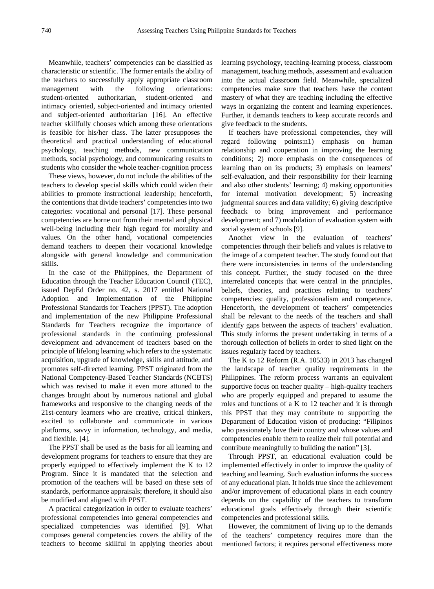Meanwhile, teachers' competencies can be classified as characteristic or scientific. The former entails the ability of the teachers to successfully apply appropriate classroom management with the following orientations: student-oriented authoritarian, student-oriented and intimacy oriented, subject-oriented and intimacy oriented and subject-oriented authoritarian [16]. An effective teacher skillfully chooses which among these orientations is feasible for his/her class. The latter presupposes the theoretical and practical understanding of educational psychology, teaching methods, new communication methods, social psychology, and communicating results to students who consider the whole teacher-cognition process

These views, however, do not include the abilities of the teachers to develop special skills which could widen their abilities to promote instructional leadership; henceforth, the contentions that divide teachers' competencies into two categories: vocational and personal [17]. These personal competencies are borne out from their mental and physical well-being including their high regard for morality and values. On the other hand, vocational competencies demand teachers to deepen their vocational knowledge alongside with general knowledge and communication skills.

In the case of the Philippines, the Department of Education through the Teacher Education Council (TEC), issued DepEd Order no. 42, s. 2017 entitled National Adoption and Implementation of the Philippine Professional Standards for Teachers (PPST). The adoption and implementation of the new Philippine Professional Standards for Teachers recognize the importance of professional standards in the continuing professional development and advancement of teachers based on the principle of lifelong learning which refers to the systematic acquisition, upgrade of knowledge, skills and attitude, and promotes self-directed learning. PPST originated from the National Competency-Based Teacher Standards (NCBTS) which was revised to make it even more attuned to the changes brought about by numerous national and global frameworks and responsive to the changing needs of the 21st-century learners who are creative, critical thinkers, excited to collaborate and communicate in various platforms, savvy in information, technology, and media, and flexible. [4].

The PPST shall be used as the basis for all learning and development programs for teachers to ensure that they are properly equipped to effectively implement the K to 12 Program. Since it is mandated that the selection and promotion of the teachers will be based on these sets of standards, performance appraisals; therefore, it should also be modified and aligned with PPST.

A practical categorization in order to evaluate teachers' professional competencies into general competencies and specialized competencies was identified [9]. What composes general competencies covers the ability of the teachers to become skillful in applying theories about learning psychology, teaching-learning process, classroom management, teaching methods, assessment and evaluation into the actual classroom field. Meanwhile, specialized competencies make sure that teachers have the content mastery of what they are teaching including the effective ways in organizing the content and learning experiences. Further, it demands teachers to keep accurate records and give feedback to the students.

If teachers have professional competencies, they will regard following points:n1) emphasis on human relationship and cooperation in improving the learning conditions; 2) more emphasis on the consequences of learning than on its products; 3) emphasis on learners' self-evaluation, and their responsibility for their learning and also other students' learning; 4) making opportunities for internal motivation development; 5) increasing judgmental sources and data validity; 6) giving descriptive feedback to bring improvement and performance development; and 7) modulation of evaluation system with social system of schools [9].

Another view in the evaluation of teachers' competencies through their beliefs and values is relative to the image of a competent teacher. The study found out that there were inconsistencies in terms of the understanding this concept. Further, the study focused on the three interrelated concepts that were central in the principles, beliefs, theories, and practices relating to teachers' competencies: quality, professionalism and competence. Henceforth, the development of teachers' competencies shall be relevant to the needs of the teachers and shall identify gaps between the aspects of teachers' evaluation. This study informs the present undertaking in terms of a thorough collection of beliefs in order to shed light on the issues regularly faced by teachers.

The K to 12 Reform (R.A. 10533) in 2013 has changed the landscape of teacher quality requirements in the Philippines. The reform process warrants an equivalent supportive focus on teacher quality – high-quality teachers who are properly equipped and prepared to assume the roles and functions of a K to 12 teacher and it is through this PPST that they may contribute to supporting the Department of Education vision of producing: "Filipinos who passionately love their country and whose values and competencies enable them to realize their full potential and contribute meaningfully to building the nation" [3].

Through PPST, an educational evaluation could be implemented effectively in order to improve the quality of teaching and learning. Such evaluation informs the success of any educational plan. It holds true since the achievement and/or improvement of educational plans in each country depends on the capability of the teachers to transform educational goals effectively through their scientific competencies and professional skills.

However, the commitment of living up to the demands of the teachers' competency requires more than the mentioned factors; it requires personal effectiveness more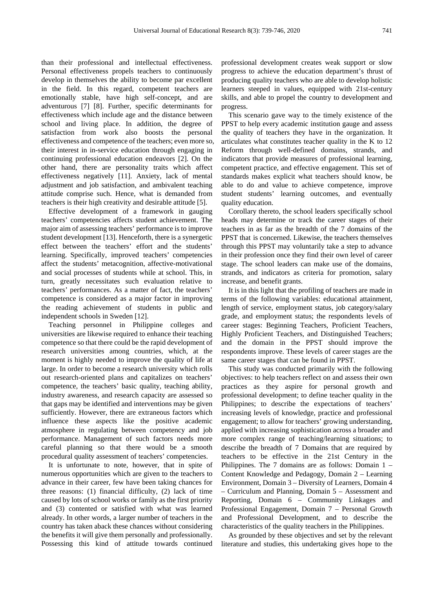than their professional and intellectual effectiveness. Personal effectiveness propels teachers to continuously develop in themselves the ability to become par excellent in the field. In this regard, competent teachers are emotionally stable, have high self-concept, and are adventurous [7] [8]. Further, specific determinants for effectiveness which include age and the distance between school and living place. In addition, the degree of satisfaction from work also boosts the personal effectiveness and competence of the teachers; even more so, their interest in in-service education through engaging in continuing professional education endeavors [2]. On the other hand, there are personality traits which affect effectiveness negatively [11]. Anxiety, lack of mental adjustment and job satisfaction, and ambivalent teaching attitude comprise such. Hence, what is demanded from teachers is their high creativity and desirable attitude [5].

Effective development of a framework in gauging teachers' competencies affects student achievement. The major aim of assessing teachers' performance is to improve student development [13]. Henceforth, there is a synergetic effect between the teachers' effort and the students' learning. Specifically, improved teachers' competencies affect the students' metacognition, affective-motivational and social processes of students while at school. This, in turn, greatly necessitates such evaluation relative to teachers' performances. As a matter of fact, the teachers' competence is considered as a major factor in improving the reading achievement of students in public and independent schools in Sweden [12].

Teaching personnel in Philippine colleges and universities are likewise required to enhance their teaching competence so that there could be the rapid development of research universities among countries, which, at the moment is highly needed to improve the quality of life at large. In order to become a research university which rolls out research-oriented plans and capitalizes on teachers' competence, the teachers' basic quality, teaching ability, industry awareness, and research capacity are assessed so that gaps may be identified and interventions may be given sufficiently. However, there are extraneous factors which influence these aspects like the positive academic atmosphere in regulating between competency and job performance. Management of such factors needs more careful planning so that there would be a smooth procedural quality assessment of teachers' competencies.

It is unfortunate to note, however, that in spite of numerous opportunities which are given to the teachers to advance in their career, few have been taking chances for three reasons: (1) financial difficulty, (2) lack of time caused by lots of school works or family as the first priority and (3) contented or satisfied with what was learned already. In other words, a larger number of teachers in the country has taken aback these chances without considering the benefits it will give them personally and professionally. Possessing this kind of attitude towards continued

professional development creates weak support or slow progress to achieve the education department's thrust of producing quality teachers who are able to develop holistic learners steeped in values, equipped with 21st-century skills, and able to propel the country to development and progress.

This scenario gave way to the timely existence of the PPST to help every academic institution gauge and assess the quality of teachers they have in the organization. It articulates what constitutes teacher quality in the K to 12 Reform through well-defined domains, strands, and indicators that provide measures of professional learning, competent practice, and effective engagement. This set of standards makes explicit what teachers should know, be able to do and value to achieve competence, improve student students' learning outcomes, and eventually quality education.

Corollary thereto, the school leaders specifically school heads may determine or track the career stages of their teachers in as far as the breadth of the 7 domains of the PPST that is concerned. Likewise, the teachers themselves through this PPST may voluntarily take a step to advance in their profession once they find their own level of career stage. The school leaders can make use of the domains, strands, and indicators as criteria for promotion, salary increase, and benefit grants.

It is in this light that the profiling of teachers are made in terms of the following variables: educational attainment, length of service, employment status, job category/salary grade, and employment status; the respondents levels of career stages: Beginning Teachers, Proficient Teachers, Highly Proficient Teachers, and Distinguished Teachers; and the domain in the PPST should improve the respondents improve. These levels of career stages are the same career stages that can be found in PPST.

This study was conducted primarily with the following objectives: to help teachers reflect on and assess their own practices as they aspire for personal growth and professional development; to define teacher quality in the Philippines; to describe the expectations of teachers' increasing levels of knowledge, practice and professional engagement; to allow for teachers' growing understanding, applied with increasing sophistication across a broader and more complex range of teaching/learning situations; to describe the breadth of 7 Domains that are required by teachers to be effective in the 21st Century in the Philippines. The 7 domains are as follows: Domain 1 – Content Knowledge and Pedagogy, Domain 2 – Learning Environment, Domain 3 – Diversity of Learners, Domain 4 – Curriculum and Planning, Domain 5 – Assessment and Reporting, Domain 6 – Community Linkages and Professional Engagement, Domain 7 – Personal Growth and Professional Development, and to describe the characteristics of the quality teachers in the Philippines.

As grounded by these objectives and set by the relevant literature and studies, this undertaking gives hope to the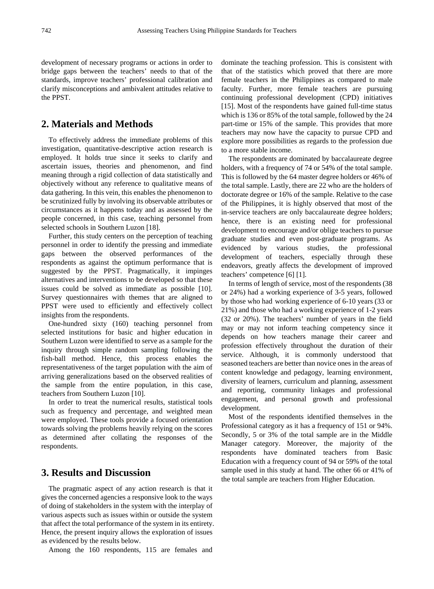development of necessary programs or actions in order to bridge gaps between the teachers' needs to that of the standards, improve teachers' professional calibration and clarify misconceptions and ambivalent attitudes relative to the PPST.

### **2. Materials and Methods**

To effectively address the immediate problems of this investigation, quantitative-descriptive action research is employed. It holds true since it seeks to clarify and ascertain issues, theories and phenomenon, and find meaning through a rigid collection of data statistically and objectively without any reference to qualitative means of data gathering. In this vein, this enables the phenomenon to be scrutinized fully by involving its observable attributes or circumstances as it happens today and as assessed by the people concerned, in this case, teaching personnel from selected schools in Southern Luzon [18].

Further, this study centers on the perception of teaching personnel in order to identify the pressing and immediate gaps between the observed performances of the respondents as against the optimum performance that is suggested by the PPST. Pragmatically, it impinges alternatives and interventions to be developed so that these issues could be solved as immediate as possible [10]. Survey questionnaires with themes that are aligned to PPST were used to efficiently and effectively collect insights from the respondents.

One-hundred sixty (160) teaching personnel from selected institutions for basic and higher education in Southern Luzon were identified to serve as a sample for the inquiry through simple random sampling following the fish-ball method. Hence, this process enables the representativeness of the target population with the aim of arriving generalizations based on the observed realities of the sample from the entire population, in this case, teachers from Southern Luzon [10].

In order to treat the numerical results, statistical tools such as frequency and percentage, and weighted mean were employed. These tools provide a focused orientation towards solving the problems heavily relying on the scores as determined after collating the responses of the respondents.

#### **3. Results and Discussion**

The pragmatic aspect of any action research is that it gives the concerned agencies a responsive look to the ways of doing of stakeholders in the system with the interplay of various aspects such as issues within or outside the system that affect the total performance of the system in its entirety. Hence, the present inquiry allows the exploration of issues as evidenced by the results below.

Among the 160 respondents, 115 are females and

dominate the teaching profession. This is consistent with that of the statistics which proved that there are more female teachers in the Philippines as compared to male faculty. Further, more female teachers are pursuing continuing professional development (CPD) initiatives [15]. Most of the respondents have gained full-time status which is 136 or 85% of the total sample, followed by the 24 part-time or 15% of the sample. This provides that more teachers may now have the capacity to pursue CPD and explore more possibilities as regards to the profession due to a more stable income.

The respondents are dominated by baccalaureate degree holders, with a frequency of 74 or 54% of the total sample. This is followed by the 64 master degree holders or 46% of the total sample. Lastly, there are 22 who are the holders of doctorate degree or 16% of the sample. Relative to the case of the Philippines, it is highly observed that most of the in-service teachers are only baccalaureate degree holders; hence, there is an existing need for professional development to encourage and/or oblige teachers to pursue graduate studies and even post-graduate programs. As evidenced by various studies, the professional development of teachers, especially through these endeavors, greatly affects the development of improved teachers' competence [6] [1].

In terms of length of service, most of the respondents (38 or 24%) had a working experience of 3-5 years, followed by those who had working experience of 6-10 years (33 or 21%) and those who had a working experience of 1-2 years (32 or 20%). The teachers' number of years in the field may or may not inform teaching competency since it depends on how teachers manage their career and profession effectively throughout the duration of their service. Although, it is commonly understood that seasoned teachers are better than novice ones in the areas of content knowledge and pedagogy, learning environment, diversity of learners, curriculum and planning, assessment and reporting, community linkages and professional engagement, and personal growth and professional development.

Most of the respondents identified themselves in the Professional category as it has a frequency of 151 or 94%. Secondly, 5 or 3% of the total sample are in the Middle Manager category. Moreover, the majority of the respondents have dominated teachers from Basic Education with a frequency count of 94 or 59% of the total sample used in this study at hand. The other 66 or 41% of the total sample are teachers from Higher Education.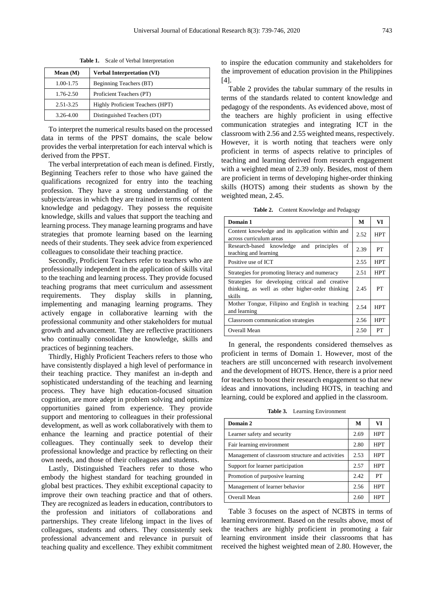| Mean $(M)$    | <b>Verbal Interpretation (VI)</b> |
|---------------|-----------------------------------|
| 1.00-1.75     | Beginning Teachers (BT)           |
| 1.76-2.50     | Proficient Teachers (PT)          |
| 2.51-3.25     | Highly Proficient Teachers (HPT)  |
| $3.26 - 4.00$ | Distinguished Teachers (DT)       |

**Table 1.** Scale of Verbal Interpretation

To interpret the numerical results based on the processed data in terms of the PPST domains, the scale below provides the verbal interpretation for each interval which is derived from the PPST.

The verbal interpretation of each mean is defined. Firstly, Beginning Teachers refer to those who have gained the qualifications recognized for entry into the teaching profession. They have a strong understanding of the subjects/areas in which they are trained in terms of content knowledge and pedagogy. They possess the requisite knowledge, skills and values that support the teaching and learning process. They manage learning programs and have strategies that promote learning based on the learning needs of their students. They seek advice from experienced colleagues to consolidate their teaching practice.

Secondly, Proficient Teachers refer to teachers who are professionally independent in the application of skills vital to the teaching and learning process. They provide focused teaching programs that meet curriculum and assessment requirements. They display skills in planning, implementing and managing learning programs. They actively engage in collaborative learning with the professional community and other stakeholders for mutual growth and advancement. They are reflective practitioners who continually consolidate the knowledge, skills and practices of beginning teachers.

Thirdly, Highly Proficient Teachers refers to those who have consistently displayed a high level of performance in their teaching practice. They manifest an in-depth and sophisticated understanding of the teaching and learning process. They have high education-focused situation cognition, are more adept in problem solving and optimize opportunities gained from experience. They provide support and mentoring to colleagues in their professional development, as well as work collaboratively with them to enhance the learning and practice potential of their colleagues. They continually seek to develop their professional knowledge and practice by reflecting on their own needs, and those of their colleagues and students.

Lastly, Distinguished Teachers refer to those who embody the highest standard for teaching grounded in global best practices. They exhibit exceptional capacity to improve their own teaching practice and that of others. They are recognized as leaders in education, contributors to the profession and initiators of collaborations and partnerships. They create lifelong impact in the lives of colleagues, students and others. They consistently seek professional advancement and relevance in pursuit of teaching quality and excellence. They exhibit commitment

to inspire the education community and stakeholders for the improvement of education provision in the Philippines [4].

Table 2 provides the tabular summary of the results in terms of the standards related to content knowledge and pedagogy of the respondents. As evidenced above, most of the teachers are highly proficient in using effective communication strategies and integrating ICT in the classroom with 2.56 and 2.55 weighted means, respectively. However, it is worth noting that teachers were only proficient in terms of aspects relative to principles of teaching and learning derived from research engagement with a weighted mean of 2.39 only. Besides, most of them are proficient in terms of developing higher-order thinking skills (HOTS) among their students as shown by the weighted mean, 2.45.

**Table 2.** Content Knowledge and Pedagogy

| Domain 1                                                                                                      | М    | VI         |
|---------------------------------------------------------------------------------------------------------------|------|------------|
| Content knowledge and its application within and<br>across curriculum areas                                   | 2.52 | HPT        |
| Research-based knowledge and principles<br>-of<br>teaching and learning                                       | 2.39 | PТ         |
| Positive use of ICT                                                                                           | 2.55 | HPT        |
| Strategies for promoting literacy and numeracy                                                                | 2.51 | HPT        |
| Strategies for developing critical and creative<br>thinking, as well as other higher-order thinking<br>skills | 2.45 | PТ         |
| Mother Tongue, Filipino and English in teaching<br>and learning                                               | 2.54 | <b>HPT</b> |
| Classroom communication strategies                                                                            | 2.56 | HPT        |
| Overall Mean                                                                                                  | 2.50 | PТ         |

In general, the respondents considered themselves as proficient in terms of Domain 1. However, most of the teachers are still unconcerned with research involvement and the development of HOTS. Hence, there is a prior need for teachers to boost their research engagement so that new ideas and innovations, including HOTS, in teaching and learning, could be explored and applied in the classroom.

**Table 3.** Learning Environment

| Domain 2                                         | М    | VI         |
|--------------------------------------------------|------|------------|
| Learner safety and security                      | 2.69 | <b>HPT</b> |
| Fair learning environment                        | 2.80 | <b>HPT</b> |
| Management of classroom structure and activities | 2.53 | HPT        |
| Support for learner participation                | 2.57 | <b>HPT</b> |
| Promotion of purposive learning                  | 2.42 | PT         |
| Management of learner behavior                   | 2.56 | <b>HPT</b> |
| Overall Mean                                     | 2.60 |            |

Table 3 focuses on the aspect of NCBTS in terms of learning environment. Based on the results above, most of the teachers are highly proficient in promoting a fair learning environment inside their classrooms that has received the highest weighted mean of 2.80. However, the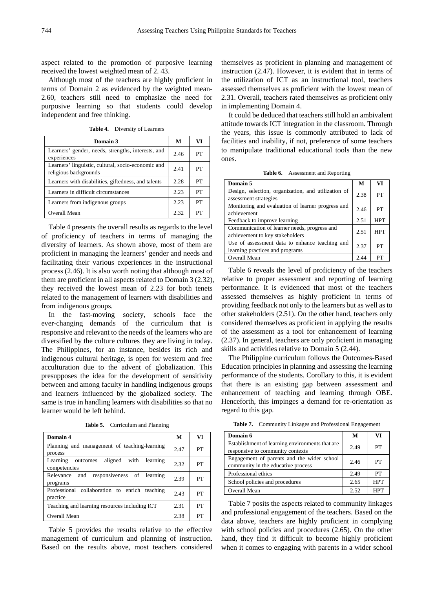aspect related to the promotion of purposive learning received the lowest weighted mean of 2. 43.

Although most of the teachers are highly proficient in terms of Domain 2 as evidenced by the weighted mean-2.60, teachers still need to emphasize the need for purposive learning so that students could develop independent and free thinking.

**Table 4.** Diversity of Learners

| Domain 3                                                                    | М    | VI |
|-----------------------------------------------------------------------------|------|----|
| Learners' gender, needs, strengths, interests, and<br>experiences           | 2.46 | PT |
| Learners' linguistic, cultural, socio-economic and<br>religious backgrounds | 2.41 | PТ |
| Learners with disabilities, giftedness, and talents                         | 2.28 | PT |
| Learners in difficult circumstances                                         | 2.23 | PT |
| Learners from indigenous groups                                             | 2.23 | PТ |
| Overall Mean                                                                | 2.32 | PТ |

Table 4 presents the overall results as regards to the level of proficiency of teachers in terms of managing the diversity of learners. As shown above, most of them are proficient in managing the learners' gender and needs and facilitating their various experiences in the instructional process (2.46). It is also worth noting that although most of them are proficient in all aspects related to Domain 3 (2.32), they received the lowest mean of 2.23 for both tenets related to the management of learners with disabilities and from indigenous groups.

In the fast-moving society, schools face the ever-changing demands of the curriculum that is responsive and relevant to the needs of the learners who are diversified by the culture cultures they are living in today. The Philippines, for an instance, besides its rich and indigenous cultural heritage, is open for western and free acculturation due to the advent of globalization. This presupposes the idea for the development of sensitivity between and among faculty in handling indigenous groups and learners influenced by the globalized society. The same is true in handling learners with disabilities so that no learner would be left behind.

**Table 5.** Curriculum and Planning

| Domain 4                                                            | M    | VI |
|---------------------------------------------------------------------|------|----|
| Planning and management of teaching-learning<br>process             | 2.47 | PТ |
| with<br>aligned<br>Learning<br>learning<br>outcomes<br>competencies | 2.32 | PT |
| responsiveness of learning<br>and<br>Relevance<br>programs          | 2.39 | PT |
| Professional collaboration to enrich<br>teaching<br>practice        | 2.43 | PT |
| Teaching and learning resources including ICT                       | 2.31 | PT |
| Overall Mean                                                        | 2.38 | PT |

Table 5 provides the results relative to the effective management of curriculum and planning of instruction. Based on the results above, most teachers considered themselves as proficient in planning and management of instruction (2.47). However, it is evident that in terms of the utilization of ICT as an instructional tool, teachers assessed themselves as proficient with the lowest mean of 2.31. Overall, teachers rated themselves as proficient only in implementing Domain 4.

It could be deduced that teachers still hold an ambivalent attitude towards ICT integration in the classroom. Through the years, this issue is commonly attributed to lack of facilities and inability, if not, preference of some teachers to manipulate traditional educational tools than the new ones.

**Table 6.** Assessment and Reporting

| Domain 5                                                                          | M    | VI         |
|-----------------------------------------------------------------------------------|------|------------|
| Design, selection, organization, and utilization of<br>assessment strategies      | 2.38 | PT         |
| Monitoring and evaluation of learner progress and<br>achievement                  | 2.46 | PT         |
| Feedback to improve learning                                                      | 2.51 | <b>HPT</b> |
| Communication of learner needs, progress and<br>achievement to key stakeholders   | 2.51 | <b>HPT</b> |
| Use of assessment data to enhance teaching and<br>learning practices and programs | 2.37 | PT         |
| Overall Mean                                                                      | 2.44 | PТ         |

Table 6 reveals the level of proficiency of the teachers relative to proper assessment and reporting of learning performance. It is evidenced that most of the teachers assessed themselves as highly proficient in terms of providing feedback not only to the learners but as well as to other stakeholders (2.51). On the other hand, teachers only considered themselves as proficient in applying the results of the assessment as a tool for enhancement of learning (2.37). In general, teachers are only proficient in managing skills and activities relative to Domain 5 (2.44).

The Philippine curriculum follows the Outcomes-Based Education principles in planning and assessing the learning performance of the students. Corollary to this, it is evident that there is an existing gap between assessment and enhancement of teaching and learning through OBE. Henceforth, this impinges a demand for re-orientation as regard to this gap.

**Table 7.** Community Linkages and Professional Engagement

| Domain 6                                                                            | М    | VI         |
|-------------------------------------------------------------------------------------|------|------------|
| Establishment of learning environments that are<br>responsive to community contexts | 2.49 | PТ         |
| Engagement of parents and the wider school<br>community in the educative process    | 2.46 | PТ         |
| Professional ethics                                                                 | 2.49 | PТ         |
| School policies and procedures                                                      | 2.65 | <b>HPT</b> |
| Overall Mean                                                                        | 2.52 | HPT        |

Table 7 posits the aspects related to community linkages and professional engagement of the teachers. Based on the data above, teachers are highly proficient in complying with school policies and procedures (2.65). On the other hand, they find it difficult to become highly proficient when it comes to engaging with parents in a wider school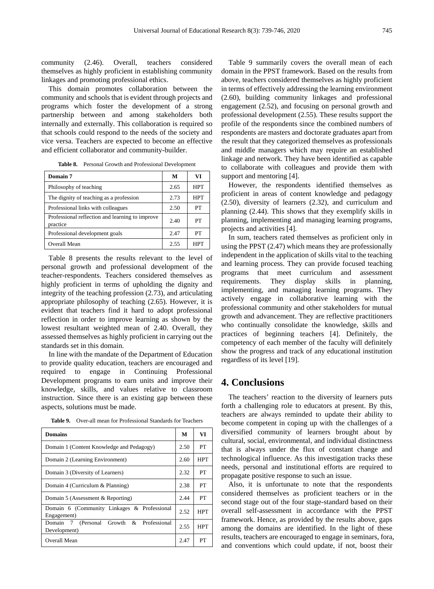community (2.46). Overall, teachers considered themselves as highly proficient in establishing community linkages and promoting professional ethics.

This domain promotes collaboration between the community and schools that is evident through projects and programs which foster the development of a strong partnership between and among stakeholders both internally and externally. This collaboration is required so that schools could respond to the needs of the society and vice versa. Teachers are expected to become an effective and efficient collaborator and community-builder.

| Domain 7                                                    | М    | VI         |
|-------------------------------------------------------------|------|------------|
| Philosophy of teaching                                      | 2.65 | <b>HPT</b> |
| The dignity of teaching as a profession                     | 2.73 | HPT        |
| Professional links with colleagues                          | 2.50 | PТ         |
| Professional reflection and learning to improve<br>practice | 2.40 | PT         |
| Professional development goals                              | 2.47 | PТ         |
| Overall Mean                                                | 2.55 | HPT        |

**Table 8.** Personal Growth and Professional Development

Table 8 presents the results relevant to the level of personal growth and professional development of the teacher-respondents. Teachers considered themselves as highly proficient in terms of upholding the dignity and integrity of the teaching profession (2.73), and articulating appropriate philosophy of teaching (2.65). However, it is evident that teachers find it hard to adopt professional reflection in order to improve learning as shown by the lowest resultant weighted mean of 2.40. Overall, they assessed themselves as highly proficient in carrying out the standards set in this domain.

In line with the mandate of the Department of Education to provide quality education, teachers are encouraged and required to engage in Continuing Professional Development programs to earn units and improve their knowledge, skills, and values relative to classroom instruction. Since there is an existing gap between these aspects, solutions must be made.

**Table 9.** Over-all mean for Professional Standards for Teachers

| <b>Domains</b>                                             | м    | VI         |
|------------------------------------------------------------|------|------------|
| Domain 1 (Content Knowledge and Pedagogy)                  |      | PТ         |
| Domain 2 (Learning Environment)                            |      | HPT        |
| Domain 3 (Diversity of Learners)                           | 2.32 | PТ         |
| Domain 4 (Curriculum & Planning)                           |      | PТ         |
| Domain 5 (Assessment & Reporting)                          |      | PT         |
| Domain 6 (Community Linkages & Professional<br>Engagement) | 2.52 | <b>HPT</b> |
| Domain 7 (Personal Growth & Professional<br>Development)   | 2.55 | <b>HPT</b> |
| Overall Mean                                               | 2.47 | PT         |

Table 9 summarily covers the overall mean of each domain in the PPST framework. Based on the results from above, teachers considered themselves as highly proficient in terms of effectively addressing the learning environment (2.60), building community linkages and professional engagement (2.52), and focusing on personal growth and professional development (2.55). These results support the profile of the respondents since the combined numbers of respondents are masters and doctorate graduates apart from the result that they categorized themselves as professionals and middle managers which may require an established linkage and network. They have been identified as capable to collaborate with colleagues and provide them with support and mentoring [4].

However, the respondents identified themselves as proficient in areas of content knowledge and pedagogy (2.50), diversity of learners (2.32), and curriculum and planning (2.44). This shows that they exemplify skills in planning, implementing and managing learning programs, projects and activities [4].

In sum, teachers rated themselves as proficient only in using the PPST (2.47) which means they are professionally independent in the application of skills vital to the teaching and learning process. They can provide focused teaching programs that meet curriculum and assessment requirements. They display skills in planning, implementing, and managing learning programs. They actively engage in collaborative learning with the professional community and other stakeholders for mutual growth and advancement. They are reflective practitioners who continually consolidate the knowledge, skills and practices of beginning teachers [4]. Definitely, the competency of each member of the faculty will definitely show the progress and track of any educational institution regardless of its level [19].

### **4. Conclusions**

The teachers' reaction to the diversity of learners puts forth a challenging role to educators at present. By this, teachers are always reminded to update their ability to become competent in coping up with the challenges of a diversified community of learners brought about by cultural, social, environmental, and individual distinctness that is always under the flux of constant change and technological influence. As this investigation tracks these needs, personal and institutional efforts are required to propagate positive response to such an issue.

Also, it is unfortunate to note that the respondents considered themselves as proficient teachers or in the second stage out of the four stage-standard based on their overall self-assessment in accordance with the PPST framework. Hence, as provided by the results above, gaps among the domains are identified. In the light of these results, teachers are encouraged to engage in seminars, fora, and conventions which could update, if not, boost their